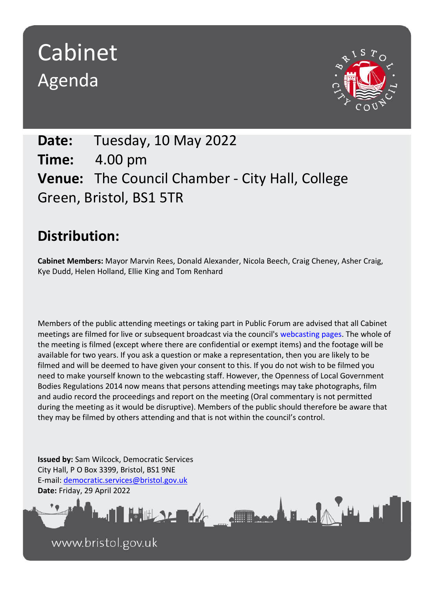# Cabinet Agenda



**Date:** Tuesday, 10 May 2022 **Time:** 4.00 pm **Venue:** The Council Chamber - City Hall, College Green, Bristol, BS1 5TR

# **Distribution:**

**Cabinet Members:** Mayor Marvin Rees, Donald Alexander, Nicola Beech, Craig Cheney, Asher Craig, Kye Dudd, Helen Holland, Ellie King and Tom Renhard

Members of the public attending meetings or taking part in Public Forum are advised that all Cabinet meetings are filmed for live or subsequent broadcast via the council's webcasting pages. The whole of the meeting is filmed (except where there are confidential or exempt items) and the footage will be available for two years. If you ask a question or make a representation, then you are likely to be filmed and will be deemed to have given your consent to this. If you do not wish to be filmed you need to make yourself known to the webcasting staff. However, the Openness of Local Government Bodies Regulations 2014 now means that persons attending meetings may take photographs, film and audio record the proceedings and report on the meeting (Oral commentary is not permitted during the meeting as it would be disruptive). Members of the public should therefore be aware that they may be filmed by others attending and that is not within the council's control.

Frank Lake

**Issued by:** Sam Wilcock, Democratic Services City Hall, P O Box 3399, Bristol, BS1 9NE E-mail: [democratic.services@bristol.gov.uk](mailto:democratic.services@bristol.gov.uk) **Date:** Friday, 29 April 2022

www.bristol.gov.uk

THE SAME OF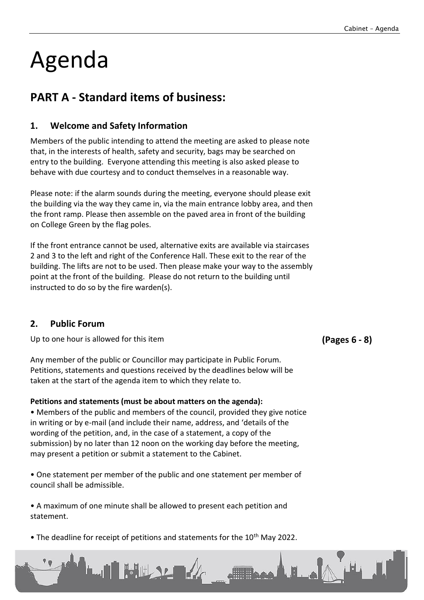# Agenda

# **PART A - Standard items of business:**

# **1. Welcome and Safety Information**

Members of the public intending to attend the meeting are asked to please note that, in the interests of health, safety and security, bags may be searched on entry to the building. Everyone attending this meeting is also asked please to behave with due courtesy and to conduct themselves in a reasonable way.

Please note: if the alarm sounds during the meeting, everyone should please exit the building via the way they came in, via the main entrance lobby area, and then the front ramp. Please then assemble on the paved area in front of the building on College Green by the flag poles.

If the front entrance cannot be used, alternative exits are available via staircases 2 and 3 to the left and right of the Conference Hall. These exit to the rear of the building. The lifts are not to be used. Then please make your way to the assembly point at the front of the building. Please do not return to the building until instructed to do so by the fire warden(s).

### **2. Public Forum**

Up to one hour is allowed for this item

Any member of the public or Councillor may participate in Public Forum. Petitions, statements and questions received by the deadlines below will be taken at the start of the agenda item to which they relate to.

### **Petitions and statements (must be about matters on the agenda):**

• Members of the public and members of the council, provided they give notice in writing or by e-mail (and include their name, address, and 'details of the wording of the petition, and, in the case of a statement, a copy of the submission) by no later than 12 noon on the working day before the meeting, may present a petition or submit a statement to the Cabinet.

• One statement per member of the public and one statement per member of council shall be admissible.

• A maximum of one minute shall be allowed to present each petition and statement.

• The deadline for receipt of petitions and statements for the 10<sup>th</sup> May 2022.

WHERE A

**(Pages 6 - 8)**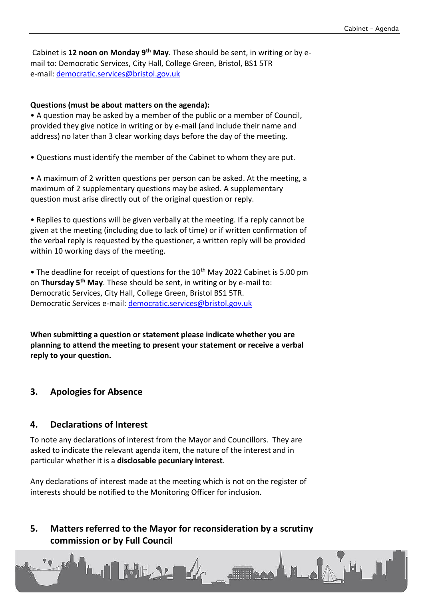Cabinet is **12 noon on Monday 9th May**. These should be sent, in writing or by email to: Democratic Services, City Hall, College Green, Bristol, BS1 5TR e-mail: [democratic.services@bristol.gov.uk](mailto:democratic.services@bristol.gov.uk)

#### **Questions (must be about matters on the agenda):**

• A question may be asked by a member of the public or a member of Council, provided they give notice in writing or by e-mail (and include their name and address) no later than 3 clear working days before the day of the meeting.

• Questions must identify the member of the Cabinet to whom they are put.

• A maximum of 2 written questions per person can be asked. At the meeting, a maximum of 2 supplementary questions may be asked. A supplementary question must arise directly out of the original question or reply.

• Replies to questions will be given verbally at the meeting. If a reply cannot be given at the meeting (including due to lack of time) or if written confirmation of the verbal reply is requested by the questioner, a written reply will be provided within 10 working days of the meeting.

• The deadline for receipt of questions for the  $10<sup>th</sup>$  May 2022 Cabinet is 5.00 pm on **Thursday 5th May**. These should be sent, in writing or by e-mail to: Democratic Services, City Hall, College Green, Bristol BS1 5TR. Democratic Services e-mail: [democratic.services@bristol.gov.uk](mailto:democratic.services@bristol.gov.uk)

**When submitting a question or statement please indicate whether you are planning to attend the meeting to present your statement or receive a verbal reply to your question.**

#### **3. Apologies for Absence**

#### **4. Declarations of Interest**

To note any declarations of interest from the Mayor and Councillors. They are asked to indicate the relevant agenda item, the nature of the interest and in particular whether it is a **disclosable pecuniary interest**.

Any declarations of interest made at the meeting which is not on the register of interests should be notified to the Monitoring Officer for inclusion.

# **5. Matters referred to the Mayor for reconsideration by a scrutiny commission or by Full Council**

**Fillipping A. H. ...** 

**LAN BULLSE AL**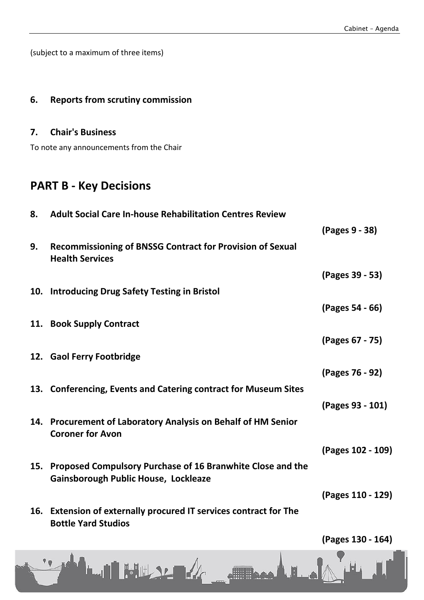(subject to a maximum of three items)

## **6. Reports from scrutiny commission**

## **7. Chair's Business**

To note any announcements from the Chair

# **PART B - Key Decisions**

| 8.  | <b>Adult Social Care In-house Rehabilitation Centres Review</b>                                           |                   |
|-----|-----------------------------------------------------------------------------------------------------------|-------------------|
|     |                                                                                                           | (Pages 9 - 38)    |
| 9.  | <b>Recommissioning of BNSSG Contract for Provision of Sexual</b><br><b>Health Services</b>                |                   |
|     |                                                                                                           | (Pages 39 - 53)   |
| 10. | <b>Introducing Drug Safety Testing in Bristol</b>                                                         |                   |
|     |                                                                                                           | (Pages 54 - 66)   |
|     | 11. Book Supply Contract                                                                                  |                   |
|     |                                                                                                           | (Pages 67 - 75)   |
|     | 12. Gaol Ferry Footbridge                                                                                 |                   |
|     |                                                                                                           | (Pages 76 - 92)   |
|     | 13. Conferencing, Events and Catering contract for Museum Sites                                           |                   |
|     |                                                                                                           | (Pages 93 - 101)  |
|     | 14. Procurement of Laboratory Analysis on Behalf of HM Senior<br><b>Coroner for Avon</b>                  |                   |
|     |                                                                                                           | (Pages 102 - 109) |
| 15. | Proposed Compulsory Purchase of 16 Branwhite Close and the<br><b>Gainsborough Public House, Lockleaze</b> |                   |
|     |                                                                                                           | (Pages 110 - 129) |
|     | 16. Extension of externally procured IT services contract for The<br><b>Bottle Yard Studios</b>           |                   |
|     |                                                                                                           | (Pages 130 - 164) |

LUI HULLEY A DARLE A